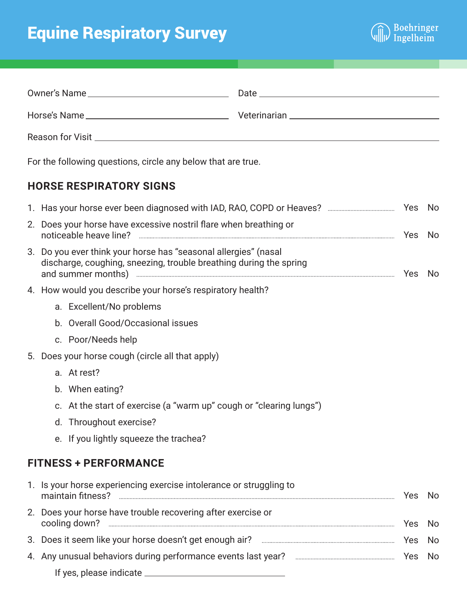## Equine Respiratory Survey



|  | For the following questions, circle any below that are true.                                                                                                                                                                |  |     |     |
|--|-----------------------------------------------------------------------------------------------------------------------------------------------------------------------------------------------------------------------------|--|-----|-----|
|  | <b>HORSE RESPIRATORY SIGNS</b>                                                                                                                                                                                              |  |     |     |
|  |                                                                                                                                                                                                                             |  |     |     |
|  | 2. Does your horse have excessive nostril flare when breathing or                                                                                                                                                           |  |     |     |
|  | 3. Do you ever think your horse has "seasonal allergies" (nasal<br>discharge, coughing, sneezing, trouble breathing during the spring<br>and summer months) <b>with the control of the control of the control of the No</b> |  |     |     |
|  | 4. How would you describe your horse's respiratory health?                                                                                                                                                                  |  |     |     |
|  | a. Excellent/No problems                                                                                                                                                                                                    |  |     |     |
|  | b. Overall Good/Occasional issues                                                                                                                                                                                           |  |     |     |
|  | c. Poor/Needs help                                                                                                                                                                                                          |  |     |     |
|  | 5. Does your horse cough (circle all that apply)                                                                                                                                                                            |  |     |     |
|  | a. At rest?                                                                                                                                                                                                                 |  |     |     |
|  | b. When eating?                                                                                                                                                                                                             |  |     |     |
|  | c. At the start of exercise (a "warm up" cough or "clearing lungs")                                                                                                                                                         |  |     |     |
|  | d. Throughout exercise?                                                                                                                                                                                                     |  |     |     |
|  | e. If you lightly squeeze the trachea?                                                                                                                                                                                      |  |     |     |
|  | <b>FITNESS + PERFORMANCE</b>                                                                                                                                                                                                |  |     |     |
|  | 1. Is your horse experiencing exercise intolerance or struggling to                                                                                                                                                         |  |     | No. |
|  | 2. Does your horse have trouble recovering after exercise or                                                                                                                                                                |  | Yes | No. |
|  | 3. Does it seem like your horse doesn't get enough air? <b>Environment and Search Strategier</b> 3.                                                                                                                         |  | Yes | No. |

4. Any unusual behaviors during performance events last year? Yes NoIf yes, please indicate